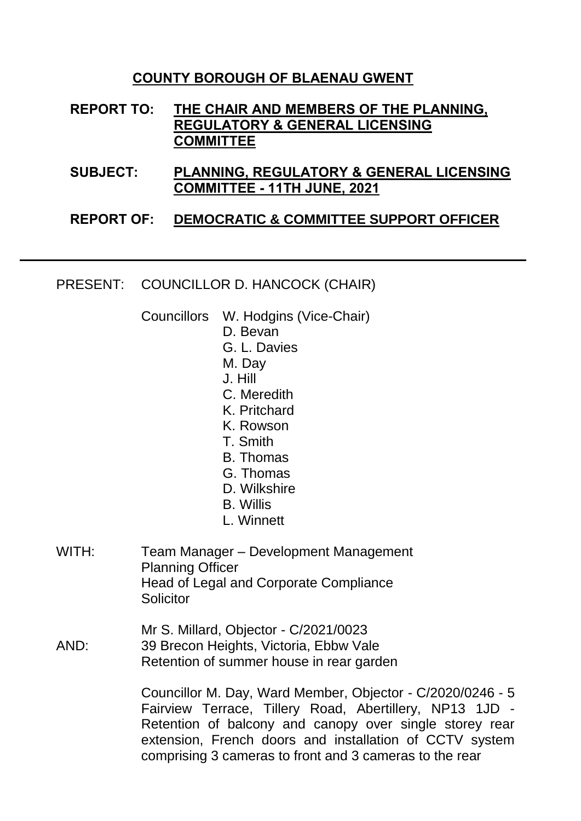#### **COUNTY BOROUGH OF BLAENAU GWENT**

**REPORT TO: THE CHAIR AND MEMBERS OF THE PLANNING, REGULATORY & GENERAL LICENSING COMMITTEE**

**SUBJECT: PLANNING, REGULATORY & GENERAL LICENSING COMMITTEE - 11TH JUNE, 2021**

#### **REPORT OF: DEMOCRATIC & COMMITTEE SUPPORT OFFICER**

PRESENT: COUNCILLOR D. HANCOCK (CHAIR)

Councillors W. Hodgins (Vice-Chair)

- D. Bevan
- G. L. Davies
- M. Day
- J. Hill
- C. Meredith
- K. Pritchard
- K. Rowson
- T. Smith
- B. Thomas
- G. Thomas
- D. Wilkshire
- B. Willis
- L. Winnett
- WITH: Team Manager Development Management Planning Officer Head of Legal and Corporate Compliance **Solicitor**
- AND: Mr S. Millard, Objector - C/2021/0023 39 Brecon Heights, Victoria, Ebbw Vale Retention of summer house in rear garden

Councillor M. Day, Ward Member, Objector - C/2020/0246 - 5 Fairview Terrace, Tillery Road, Abertillery, NP13 1JD - Retention of balcony and canopy over single storey rear extension, French doors and installation of CCTV system comprising 3 cameras to front and 3 cameras to the rear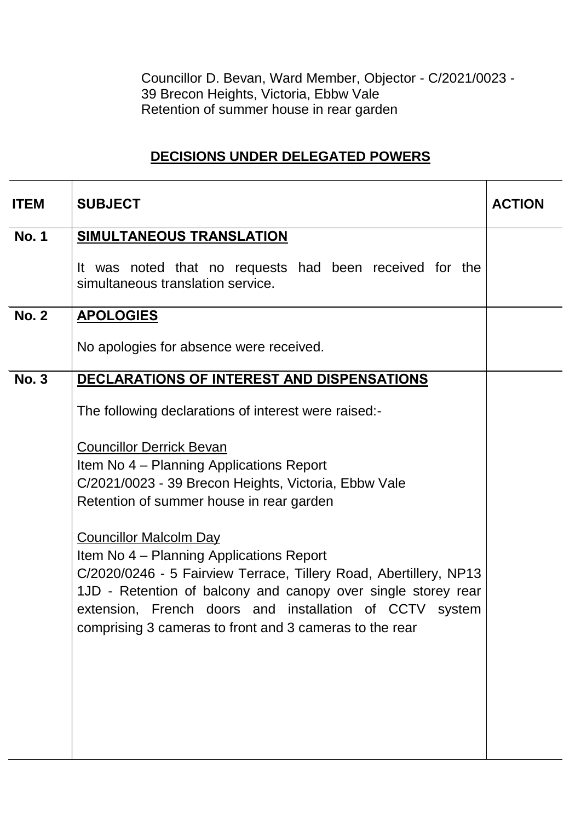Councillor D. Bevan, Ward Member, Objector - C/2021/0023 - 39 Brecon Heights, Victoria, Ebbw Vale Retention of summer house in rear garden

# **DECISIONS UNDER DELEGATED POWERS**

| <b>ITEM</b>  | <b>SUBJECT</b>                                                                                                                                                                                                                                                                                                                        | <b>ACTION</b> |
|--------------|---------------------------------------------------------------------------------------------------------------------------------------------------------------------------------------------------------------------------------------------------------------------------------------------------------------------------------------|---------------|
| <b>No. 1</b> | <b>SIMULTANEOUS TRANSLATION</b>                                                                                                                                                                                                                                                                                                       |               |
|              | It was noted that no requests had been received for the<br>simultaneous translation service.                                                                                                                                                                                                                                          |               |
| <b>No. 2</b> | <b>APOLOGIES</b>                                                                                                                                                                                                                                                                                                                      |               |
|              | No apologies for absence were received.                                                                                                                                                                                                                                                                                               |               |
| <b>No. 3</b> | DECLARATIONS OF INTEREST AND DISPENSATIONS                                                                                                                                                                                                                                                                                            |               |
|              | The following declarations of interest were raised:-                                                                                                                                                                                                                                                                                  |               |
|              | <b>Councillor Derrick Bevan</b><br>Item No 4 – Planning Applications Report<br>C/2021/0023 - 39 Brecon Heights, Victoria, Ebbw Vale<br>Retention of summer house in rear garden                                                                                                                                                       |               |
|              | <b>Councillor Malcolm Day</b><br>Item No 4 – Planning Applications Report<br>C/2020/0246 - 5 Fairview Terrace, Tillery Road, Abertillery, NP13<br>1JD - Retention of balcony and canopy over single storey rear<br>extension, French doors and installation of CCTV system<br>comprising 3 cameras to front and 3 cameras to the rear |               |
|              |                                                                                                                                                                                                                                                                                                                                       |               |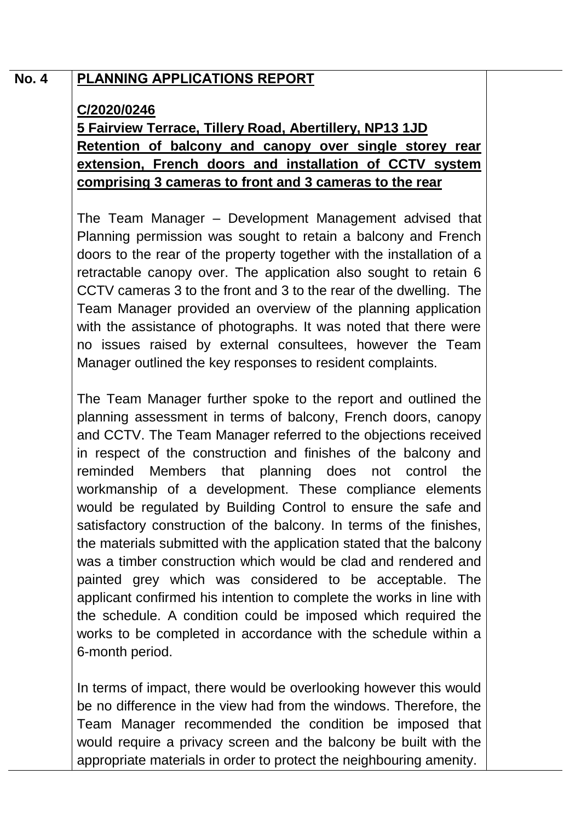## **No. 4 PLANNING APPLICATIONS REPORT**

### **C/2020/0246**

**5 Fairview Terrace, Tillery Road, Abertillery, NP13 1JD Retention of balcony and canopy over single storey rear extension, French doors and installation of CCTV system comprising 3 cameras to front and 3 cameras to the rear**

The Team Manager – Development Management advised that Planning permission was sought to retain a balcony and French doors to the rear of the property together with the installation of a retractable canopy over. The application also sought to retain 6 CCTV cameras 3 to the front and 3 to the rear of the dwelling. The Team Manager provided an overview of the planning application with the assistance of photographs. It was noted that there were no issues raised by external consultees, however the Team Manager outlined the key responses to resident complaints.

The Team Manager further spoke to the report and outlined the planning assessment in terms of balcony, French doors, canopy and CCTV. The Team Manager referred to the objections received in respect of the construction and finishes of the balcony and reminded Members that planning does not control the workmanship of a development. These compliance elements would be regulated by Building Control to ensure the safe and satisfactory construction of the balcony. In terms of the finishes, the materials submitted with the application stated that the balcony was a timber construction which would be clad and rendered and painted grey which was considered to be acceptable. The applicant confirmed his intention to complete the works in line with the schedule. A condition could be imposed which required the works to be completed in accordance with the schedule within a 6-month period.

In terms of impact, there would be overlooking however this would be no difference in the view had from the windows. Therefore, the Team Manager recommended the condition be imposed that would require a privacy screen and the balcony be built with the appropriate materials in order to protect the neighbouring amenity.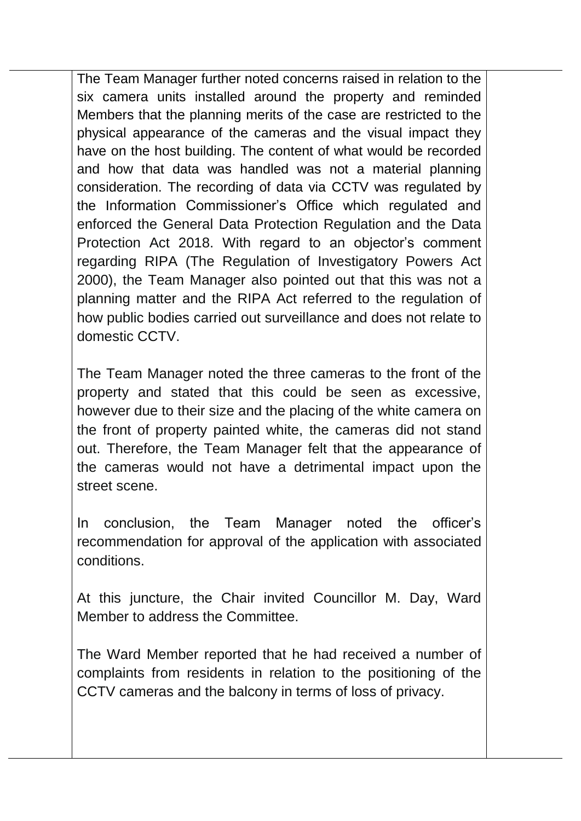The Team Manager further noted concerns raised in relation to the six camera units installed around the property and reminded Members that the planning merits of the case are restricted to the physical appearance of the cameras and the visual impact they have on the host building. The content of what would be recorded and how that data was handled was not a material planning consideration. The recording of data via CCTV was regulated by the Information Commissioner's Office which regulated and enforced the General Data Protection Regulation and the Data Protection Act 2018. With regard to an objector's comment regarding RIPA (The Regulation of Investigatory Powers Act 2000), the Team Manager also pointed out that this was not a planning matter and the RIPA Act referred to the regulation of how public bodies carried out surveillance and does not relate to domestic CCTV.

The Team Manager noted the three cameras to the front of the property and stated that this could be seen as excessive, however due to their size and the placing of the white camera on the front of property painted white, the cameras did not stand out. Therefore, the Team Manager felt that the appearance of the cameras would not have a detrimental impact upon the street scene.

In conclusion, the Team Manager noted the officer's recommendation for approval of the application with associated conditions.

At this juncture, the Chair invited Councillor M. Day, Ward Member to address the Committee.

The Ward Member reported that he had received a number of complaints from residents in relation to the positioning of the CCTV cameras and the balcony in terms of loss of privacy.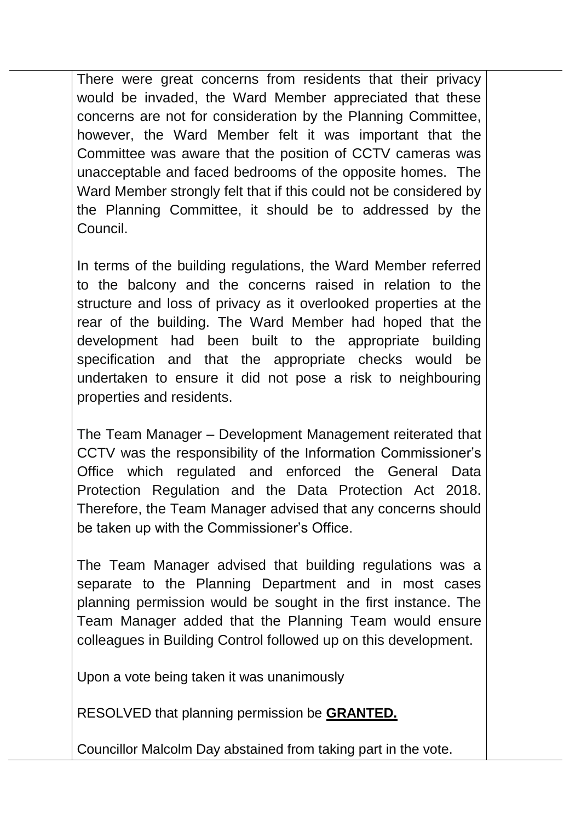There were great concerns from residents that their privacy would be invaded, the Ward Member appreciated that these concerns are not for consideration by the Planning Committee, however, the Ward Member felt it was important that the Committee was aware that the position of CCTV cameras was unacceptable and faced bedrooms of the opposite homes. The Ward Member strongly felt that if this could not be considered by the Planning Committee, it should be to addressed by the Council.

In terms of the building regulations, the Ward Member referred to the balcony and the concerns raised in relation to the structure and loss of privacy as it overlooked properties at the rear of the building. The Ward Member had hoped that the development had been built to the appropriate building specification and that the appropriate checks would be undertaken to ensure it did not pose a risk to neighbouring properties and residents.

The Team Manager – Development Management reiterated that CCTV was the responsibility of the Information Commissioner's Office which regulated and enforced the General Data Protection Regulation and the Data Protection Act 2018. Therefore, the Team Manager advised that any concerns should be taken up with the Commissioner's Office.

The Team Manager advised that building regulations was a separate to the Planning Department and in most cases planning permission would be sought in the first instance. The Team Manager added that the Planning Team would ensure colleagues in Building Control followed up on this development.

Upon a vote being taken it was unanimously

RESOLVED that planning permission be **GRANTED.**

Councillor Malcolm Day abstained from taking part in the vote.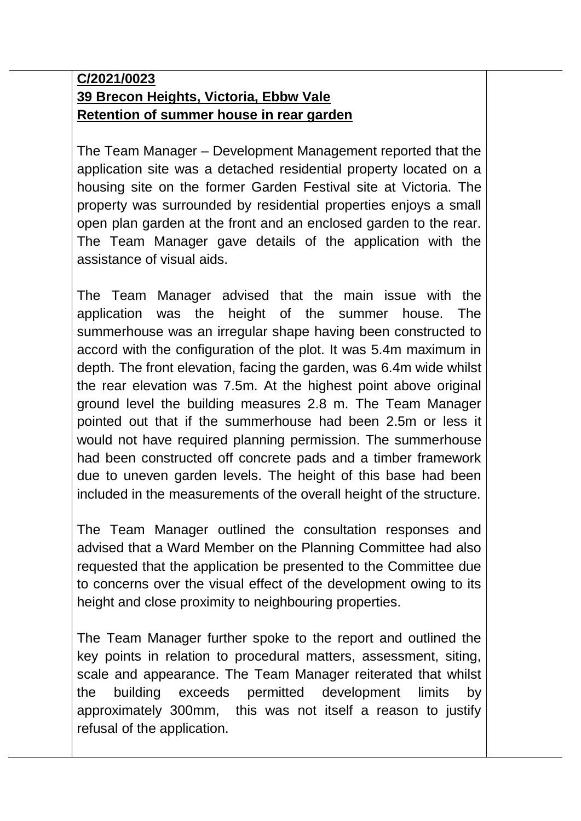# **C/2021/0023 39 Brecon Heights, Victoria, Ebbw Vale Retention of summer house in rear garden**

The Team Manager – Development Management reported that the application site was a detached residential property located on a housing site on the former Garden Festival site at Victoria. The property was surrounded by residential properties enjoys a small open plan garden at the front and an enclosed garden to the rear. The Team Manager gave details of the application with the assistance of visual aids.

The Team Manager advised that the main issue with the application was the height of the summer house. The summerhouse was an irregular shape having been constructed to accord with the configuration of the plot. It was 5.4m maximum in depth. The front elevation, facing the garden, was 6.4m wide whilst the rear elevation was 7.5m. At the highest point above original ground level the building measures 2.8 m. The Team Manager pointed out that if the summerhouse had been 2.5m or less it would not have required planning permission. The summerhouse had been constructed off concrete pads and a timber framework due to uneven garden levels. The height of this base had been included in the measurements of the overall height of the structure.

The Team Manager outlined the consultation responses and advised that a Ward Member on the Planning Committee had also requested that the application be presented to the Committee due to concerns over the visual effect of the development owing to its height and close proximity to neighbouring properties.

The Team Manager further spoke to the report and outlined the key points in relation to procedural matters, assessment, siting, scale and appearance. The Team Manager reiterated that whilst the building exceeds permitted development limits by approximately 300mm, this was not itself a reason to justify refusal of the application.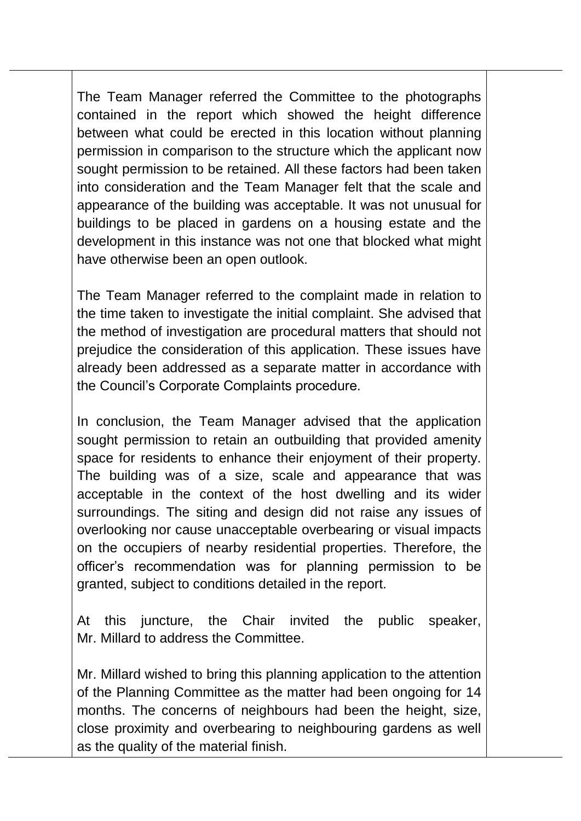The Team Manager referred the Committee to the photographs contained in the report which showed the height difference between what could be erected in this location without planning permission in comparison to the structure which the applicant now sought permission to be retained. All these factors had been taken into consideration and the Team Manager felt that the scale and appearance of the building was acceptable. It was not unusual for buildings to be placed in gardens on a housing estate and the development in this instance was not one that blocked what might have otherwise been an open outlook.

The Team Manager referred to the complaint made in relation to the time taken to investigate the initial complaint. She advised that the method of investigation are procedural matters that should not prejudice the consideration of this application. These issues have already been addressed as a separate matter in accordance with the Council's Corporate Complaints procedure.

In conclusion, the Team Manager advised that the application sought permission to retain an outbuilding that provided amenity space for residents to enhance their enjoyment of their property. The building was of a size, scale and appearance that was acceptable in the context of the host dwelling and its wider surroundings. The siting and design did not raise any issues of overlooking nor cause unacceptable overbearing or visual impacts on the occupiers of nearby residential properties. Therefore, the officer's recommendation was for planning permission to be granted, subject to conditions detailed in the report.

At this juncture, the Chair invited the public speaker, Mr. Millard to address the Committee.

Mr. Millard wished to bring this planning application to the attention of the Planning Committee as the matter had been ongoing for 14 months. The concerns of neighbours had been the height, size, close proximity and overbearing to neighbouring gardens as well as the quality of the material finish.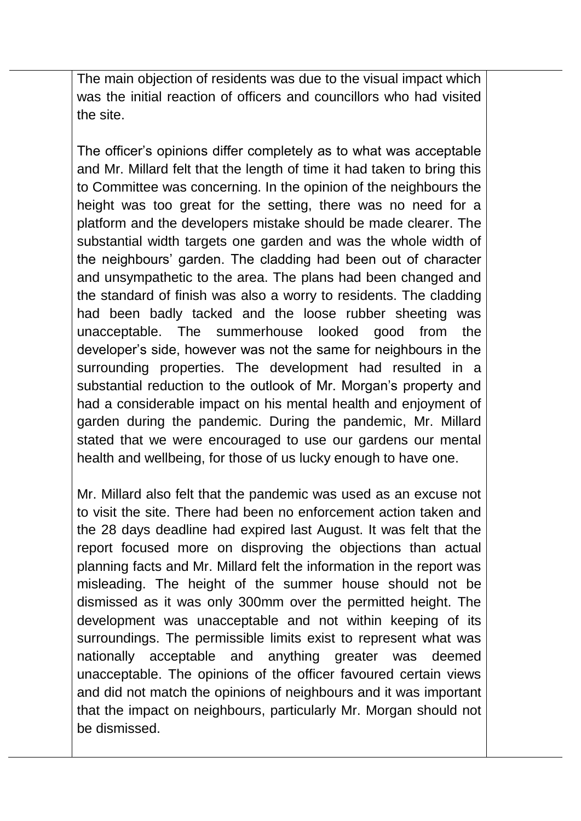The main objection of residents was due to the visual impact which was the initial reaction of officers and councillors who had visited the site.

The officer's opinions differ completely as to what was acceptable and Mr. Millard felt that the length of time it had taken to bring this to Committee was concerning. In the opinion of the neighbours the height was too great for the setting, there was no need for a platform and the developers mistake should be made clearer. The substantial width targets one garden and was the whole width of the neighbours' garden. The cladding had been out of character and unsympathetic to the area. The plans had been changed and the standard of finish was also a worry to residents. The cladding had been badly tacked and the loose rubber sheeting was unacceptable. The summerhouse looked good from the developer's side, however was not the same for neighbours in the surrounding properties. The development had resulted in a substantial reduction to the outlook of Mr. Morgan's property and had a considerable impact on his mental health and enjoyment of garden during the pandemic. During the pandemic, Mr. Millard stated that we were encouraged to use our gardens our mental health and wellbeing, for those of us lucky enough to have one.

Mr. Millard also felt that the pandemic was used as an excuse not to visit the site. There had been no enforcement action taken and the 28 days deadline had expired last August. It was felt that the report focused more on disproving the objections than actual planning facts and Mr. Millard felt the information in the report was misleading. The height of the summer house should not be dismissed as it was only 300mm over the permitted height. The development was unacceptable and not within keeping of its surroundings. The permissible limits exist to represent what was nationally acceptable and anything greater was deemed unacceptable. The opinions of the officer favoured certain views and did not match the opinions of neighbours and it was important that the impact on neighbours, particularly Mr. Morgan should not be dismissed.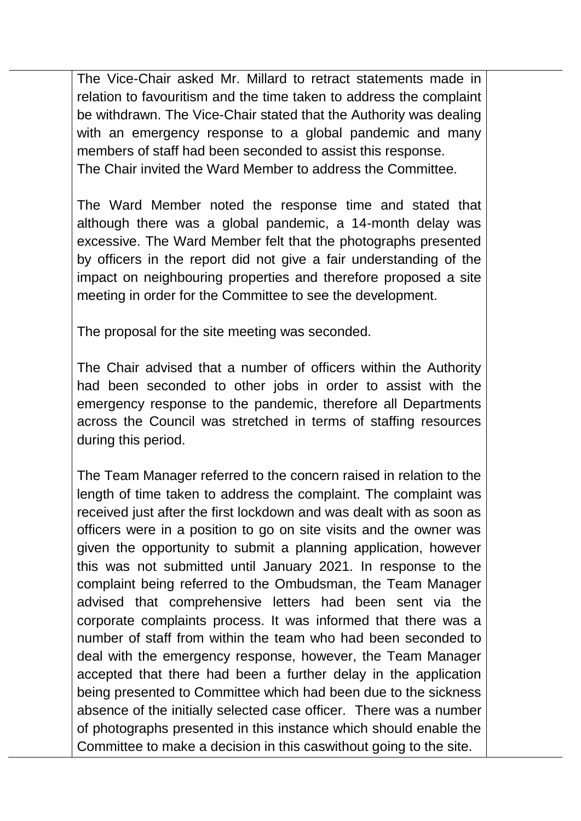The Vice-Chair asked Mr. Millard to retract statements made in relation to favouritism and the time taken to address the complaint be withdrawn. The Vice-Chair stated that the Authority was dealing with an emergency response to a global pandemic and many members of staff had been seconded to assist this response. The Chair invited the Ward Member to address the Committee.

The Ward Member noted the response time and stated that although there was a global pandemic, a 14-month delay was excessive. The Ward Member felt that the photographs presented by officers in the report did not give a fair understanding of the impact on neighbouring properties and therefore proposed a site meeting in order for the Committee to see the development.

The proposal for the site meeting was seconded.

The Chair advised that a number of officers within the Authority had been seconded to other jobs in order to assist with the emergency response to the pandemic, therefore all Departments across the Council was stretched in terms of staffing resources during this period.

The Team Manager referred to the concern raised in relation to the length of time taken to address the complaint. The complaint was received just after the first lockdown and was dealt with as soon as officers were in a position to go on site visits and the owner was given the opportunity to submit a planning application, however this was not submitted until January 2021. In response to the complaint being referred to the Ombudsman, the Team Manager advised that comprehensive letters had been sent via the corporate complaints process. It was informed that there was a number of staff from within the team who had been seconded to deal with the emergency response, however, the Team Manager accepted that there had been a further delay in the application being presented to Committee which had been due to the sickness absence of the initially selected case officer. There was a number of photographs presented in this instance which should enable the Committee to make a decision in this caswithout going to the site.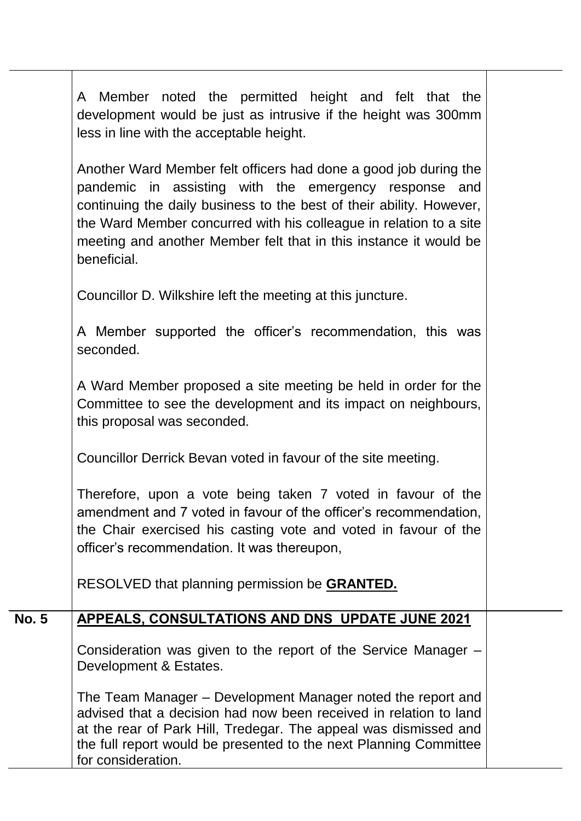|              | Member noted the permitted height and felt that the<br>A<br>development would be just as intrusive if the height was 300mm<br>less in line with the acceptable height.                                                                                                                                                                                      |  |
|--------------|-------------------------------------------------------------------------------------------------------------------------------------------------------------------------------------------------------------------------------------------------------------------------------------------------------------------------------------------------------------|--|
|              | Another Ward Member felt officers had done a good job during the<br>pandemic in assisting with the emergency response and<br>continuing the daily business to the best of their ability. However,<br>the Ward Member concurred with his colleague in relation to a site<br>meeting and another Member felt that in this instance it would be<br>beneficial. |  |
|              | Councillor D. Wilkshire left the meeting at this juncture.                                                                                                                                                                                                                                                                                                  |  |
|              | A Member supported the officer's recommendation, this was<br>seconded.                                                                                                                                                                                                                                                                                      |  |
|              | A Ward Member proposed a site meeting be held in order for the<br>Committee to see the development and its impact on neighbours,<br>this proposal was seconded.                                                                                                                                                                                             |  |
|              | Councillor Derrick Bevan voted in favour of the site meeting.                                                                                                                                                                                                                                                                                               |  |
|              | Therefore, upon a vote being taken 7 voted in favour of the<br>amendment and 7 voted in favour of the officer's recommendation,<br>the Chair exercised his casting vote and voted in favour of the<br>officer's recommendation. It was thereupon,                                                                                                           |  |
|              | RESOLVED that planning permission be <b>GRANTED.</b>                                                                                                                                                                                                                                                                                                        |  |
| <b>No. 5</b> | APPEALS, CONSULTATIONS AND DNS UPDATE JUNE 2021                                                                                                                                                                                                                                                                                                             |  |
|              | Consideration was given to the report of the Service Manager -<br>Development & Estates.                                                                                                                                                                                                                                                                    |  |
|              | The Team Manager – Development Manager noted the report and<br>advised that a decision had now been received in relation to land<br>at the rear of Park Hill, Tredegar. The appeal was dismissed and<br>the full report would be presented to the next Planning Committee<br>for consideration.                                                             |  |
|              |                                                                                                                                                                                                                                                                                                                                                             |  |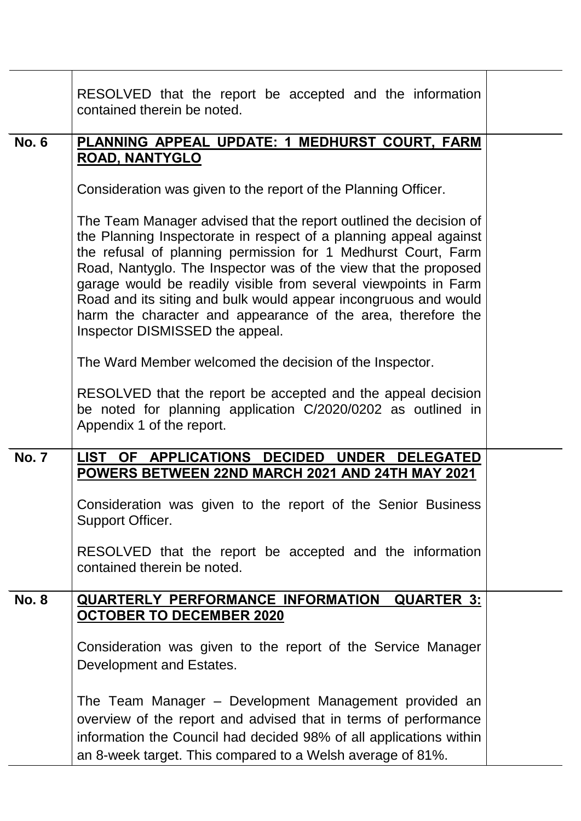|              | RESOLVED that the report be accepted and the information<br>contained therein be noted.                                                                                                                                                                                                                                                                                                                                                                                                                             |  |
|--------------|---------------------------------------------------------------------------------------------------------------------------------------------------------------------------------------------------------------------------------------------------------------------------------------------------------------------------------------------------------------------------------------------------------------------------------------------------------------------------------------------------------------------|--|
| <b>No. 6</b> | PLANNING APPEAL UPDATE: 1 MEDHURST COURT, FARM<br><b>ROAD, NANTYGLO</b>                                                                                                                                                                                                                                                                                                                                                                                                                                             |  |
|              | Consideration was given to the report of the Planning Officer.                                                                                                                                                                                                                                                                                                                                                                                                                                                      |  |
|              | The Team Manager advised that the report outlined the decision of<br>the Planning Inspectorate in respect of a planning appeal against<br>the refusal of planning permission for 1 Medhurst Court, Farm<br>Road, Nantyglo. The Inspector was of the view that the proposed<br>garage would be readily visible from several viewpoints in Farm<br>Road and its siting and bulk would appear incongruous and would<br>harm the character and appearance of the area, therefore the<br>Inspector DISMISSED the appeal. |  |
|              | The Ward Member welcomed the decision of the Inspector.                                                                                                                                                                                                                                                                                                                                                                                                                                                             |  |
|              | RESOLVED that the report be accepted and the appeal decision<br>be noted for planning application C/2020/0202 as outlined in<br>Appendix 1 of the report.                                                                                                                                                                                                                                                                                                                                                           |  |
| <b>No. 7</b> | LIST OF APPLICATIONS DECIDED UNDER DELEGATED<br>POWERS BETWEEN 22ND MARCH 2021 AND 24TH MAY 2021                                                                                                                                                                                                                                                                                                                                                                                                                    |  |
|              | Consideration was given to the report of the Senior Business<br>Support Officer.                                                                                                                                                                                                                                                                                                                                                                                                                                    |  |
|              | RESOLVED that the report be accepted and the information<br>contained therein be noted.                                                                                                                                                                                                                                                                                                                                                                                                                             |  |
| <b>No. 8</b> | QUARTERLY PERFORMANCE INFORMATION<br><b>QUARTER 3:</b><br><u>OCTOBER TO DECEMBER 2020</u>                                                                                                                                                                                                                                                                                                                                                                                                                           |  |
|              | Consideration was given to the report of the Service Manager<br>Development and Estates.                                                                                                                                                                                                                                                                                                                                                                                                                            |  |
|              | The Team Manager – Development Management provided an<br>overview of the report and advised that in terms of performance<br>information the Council had decided 98% of all applications within<br>an 8-week target. This compared to a Welsh average of 81%.                                                                                                                                                                                                                                                        |  |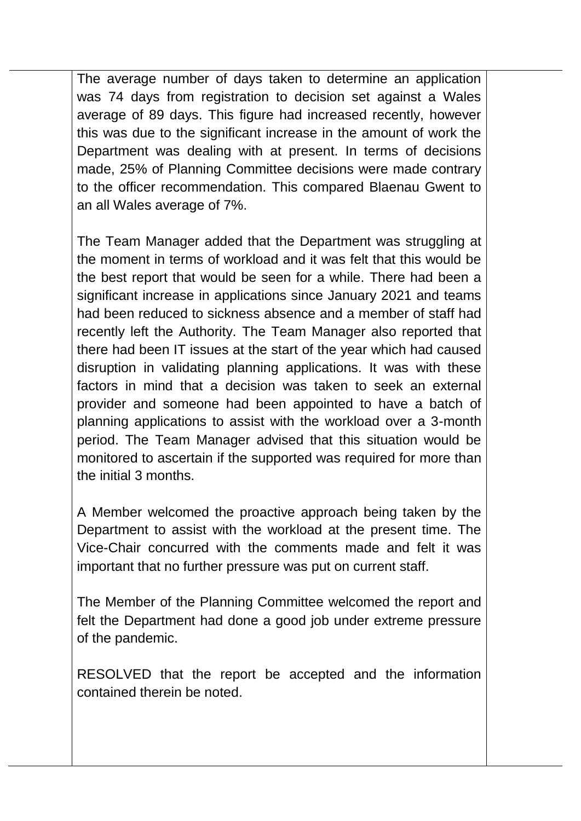The average number of days taken to determine an application was 74 days from registration to decision set against a Wales average of 89 days. This figure had increased recently, however this was due to the significant increase in the amount of work the Department was dealing with at present. In terms of decisions made, 25% of Planning Committee decisions were made contrary to the officer recommendation. This compared Blaenau Gwent to an all Wales average of 7%.

The Team Manager added that the Department was struggling at the moment in terms of workload and it was felt that this would be the best report that would be seen for a while. There had been a significant increase in applications since January 2021 and teams had been reduced to sickness absence and a member of staff had recently left the Authority. The Team Manager also reported that there had been IT issues at the start of the year which had caused disruption in validating planning applications. It was with these factors in mind that a decision was taken to seek an external provider and someone had been appointed to have a batch of planning applications to assist with the workload over a 3-month period. The Team Manager advised that this situation would be monitored to ascertain if the supported was required for more than the initial 3 months.

A Member welcomed the proactive approach being taken by the Department to assist with the workload at the present time. The Vice-Chair concurred with the comments made and felt it was important that no further pressure was put on current staff.

The Member of the Planning Committee welcomed the report and felt the Department had done a good job under extreme pressure of the pandemic.

RESOLVED that the report be accepted and the information contained therein be noted.